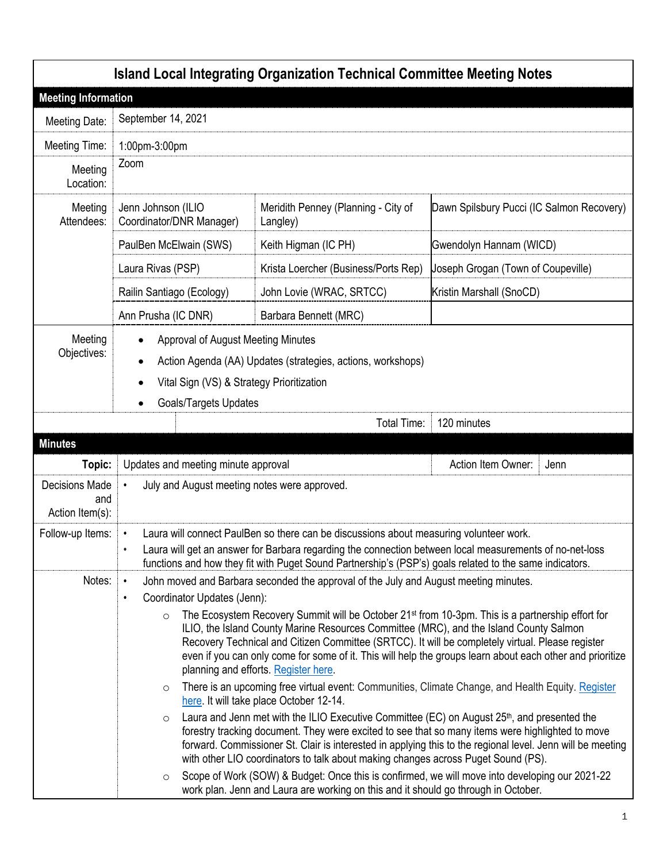|                                                 |                                                                                                                              | <b>Island Local Integrating Organization Technical Committee Meeting Notes</b>                                                                                                                                                                                                                                                                                                            |                                                                                                                                                                                                                                                                                                                                                                                                                                                                                                                                                  |
|-------------------------------------------------|------------------------------------------------------------------------------------------------------------------------------|-------------------------------------------------------------------------------------------------------------------------------------------------------------------------------------------------------------------------------------------------------------------------------------------------------------------------------------------------------------------------------------------|--------------------------------------------------------------------------------------------------------------------------------------------------------------------------------------------------------------------------------------------------------------------------------------------------------------------------------------------------------------------------------------------------------------------------------------------------------------------------------------------------------------------------------------------------|
| <b>Meeting Information</b>                      |                                                                                                                              |                                                                                                                                                                                                                                                                                                                                                                                           |                                                                                                                                                                                                                                                                                                                                                                                                                                                                                                                                                  |
| Meeting Date:                                   | September 14, 2021                                                                                                           |                                                                                                                                                                                                                                                                                                                                                                                           |                                                                                                                                                                                                                                                                                                                                                                                                                                                                                                                                                  |
| Meeting Time:                                   | 1:00pm-3:00pm                                                                                                                |                                                                                                                                                                                                                                                                                                                                                                                           |                                                                                                                                                                                                                                                                                                                                                                                                                                                                                                                                                  |
| Meeting<br>Location:                            | Zoom                                                                                                                         |                                                                                                                                                                                                                                                                                                                                                                                           |                                                                                                                                                                                                                                                                                                                                                                                                                                                                                                                                                  |
| Meeting<br>Attendees:                           | Jenn Johnson (ILIO<br>Coordinator/DNR Manager)                                                                               | Meridith Penney (Planning - City of<br>Langley)                                                                                                                                                                                                                                                                                                                                           | Dawn Spilsbury Pucci (IC Salmon Recovery)                                                                                                                                                                                                                                                                                                                                                                                                                                                                                                        |
|                                                 | PaulBen McElwain (SWS)                                                                                                       | Keith Higman (IC PH)                                                                                                                                                                                                                                                                                                                                                                      | Gwendolyn Hannam (WICD)                                                                                                                                                                                                                                                                                                                                                                                                                                                                                                                          |
|                                                 | Laura Rivas (PSP)                                                                                                            | Krista Loercher (Business/Ports Rep)                                                                                                                                                                                                                                                                                                                                                      | Joseph Grogan (Town of Coupeville)                                                                                                                                                                                                                                                                                                                                                                                                                                                                                                               |
|                                                 | Railin Santiago (Ecology)                                                                                                    | John Lovie (WRAC, SRTCC)                                                                                                                                                                                                                                                                                                                                                                  | Kristin Marshall (SnoCD)                                                                                                                                                                                                                                                                                                                                                                                                                                                                                                                         |
|                                                 | Ann Prusha (IC DNR)                                                                                                          | Barbara Bennett (MRC)                                                                                                                                                                                                                                                                                                                                                                     |                                                                                                                                                                                                                                                                                                                                                                                                                                                                                                                                                  |
| Meeting<br>Objectives:                          | <b>Approval of August Meeting Minutes</b><br>Vital Sign (VS) & Strategy Prioritization<br>Goals/Targets Updates<br>$\bullet$ | Action Agenda (AA) Updates (strategies, actions, workshops)                                                                                                                                                                                                                                                                                                                               |                                                                                                                                                                                                                                                                                                                                                                                                                                                                                                                                                  |
|                                                 |                                                                                                                              | Total Time:                                                                                                                                                                                                                                                                                                                                                                               | 120 minutes                                                                                                                                                                                                                                                                                                                                                                                                                                                                                                                                      |
| <b>Minutes</b>                                  |                                                                                                                              |                                                                                                                                                                                                                                                                                                                                                                                           |                                                                                                                                                                                                                                                                                                                                                                                                                                                                                                                                                  |
| Topic:                                          | Updates and meeting minute approval                                                                                          |                                                                                                                                                                                                                                                                                                                                                                                           | Action Item Owner:<br>Jenn                                                                                                                                                                                                                                                                                                                                                                                                                                                                                                                       |
| <b>Decisions Made</b><br>and<br>Action Item(s): | July and August meeting notes were approved.                                                                                 |                                                                                                                                                                                                                                                                                                                                                                                           |                                                                                                                                                                                                                                                                                                                                                                                                                                                                                                                                                  |
| Follow-up Items:                                |                                                                                                                              | Laura will connect PaulBen so there can be discussions about measuring volunteer work.<br>Laura will get an answer for Barbara regarding the connection between local measurements of no-net-loss<br>functions and how they fit with Puget Sound Partnership's (PSP's) goals related to the same indicators.                                                                              |                                                                                                                                                                                                                                                                                                                                                                                                                                                                                                                                                  |
| Notes:                                          | $\bullet$                                                                                                                    | John moved and Barbara seconded the approval of the July and August meeting minutes.                                                                                                                                                                                                                                                                                                      |                                                                                                                                                                                                                                                                                                                                                                                                                                                                                                                                                  |
|                                                 | Coordinator Updates (Jenn):<br>$\bullet$<br>$\circ$<br>O<br>$\circ$                                                          | ILIO, the Island County Marine Resources Committee (MRC), and the Island County Salmon<br>Recovery Technical and Citizen Committee (SRTCC). It will be completely virtual. Please register<br>planning and efforts. Register here.<br>here. It will take place October 12-14.<br>Laura and Jenn met with the ILIO Executive Committee (EC) on August 25 <sup>th</sup> , and presented the | The Ecosystem Recovery Summit will be October 21 <sup>st</sup> from 10-3pm. This is a partnership effort for<br>even if you can only come for some of it. This will help the groups learn about each other and prioritize<br>There is an upcoming free virtual event: Communities, Climate Change, and Health Equity. Register<br>forestry tracking document. They were excited to see that so many items were highlighted to move<br>forward. Commissioner St. Clair is interested in applying this to the regional level. Jenn will be meeting |
|                                                 | $\circ$                                                                                                                      | with other LIO coordinators to talk about making changes across Puget Sound (PS).<br>work plan. Jenn and Laura are working on this and it should go through in October.                                                                                                                                                                                                                   | Scope of Work (SOW) & Budget: Once this is confirmed, we will move into developing our 2021-22                                                                                                                                                                                                                                                                                                                                                                                                                                                   |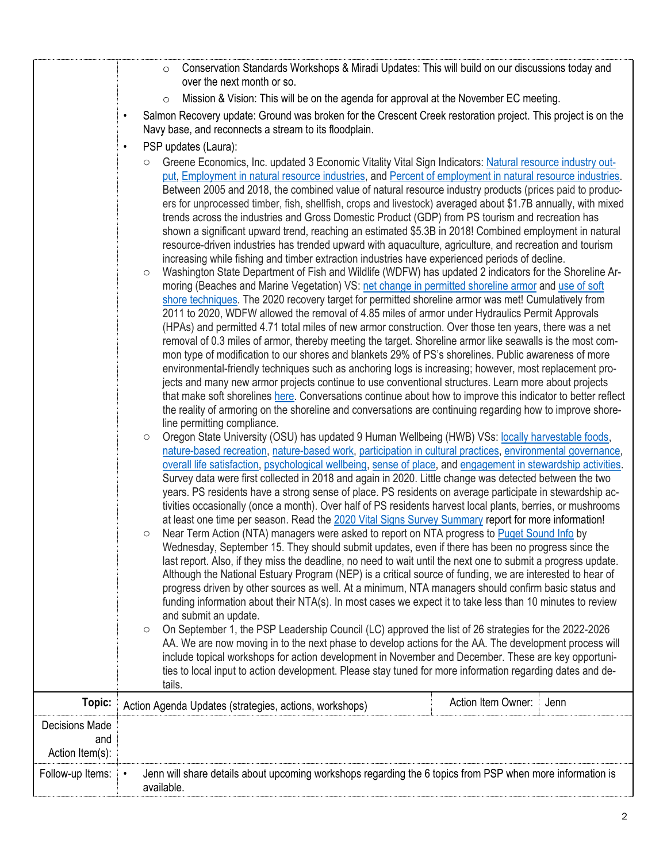|                                                 | Conservation Standards Workshops & Miradi Updates: This will build on our discussions today and<br>$\circ$<br>over the next month or so.                                                                                                                                                                                                                                                                                                                                                                                                                                                                                                                                                                                                                                                                                                                                                                                                                                                                                                                                                                                                                                                                                                                                                                                                                                                                                                                                                                                                                                                                                                                                                                                                                                                                                                                                                                                                                                                                                                                                                                                                                                                                                                                                                                                                                                                                                                                                                                                                                                                                                                                                                                                                                                                                                                                                                                                                                                                                                                                                                                                                                                                                                                                                                                                                                                            |
|-------------------------------------------------|-------------------------------------------------------------------------------------------------------------------------------------------------------------------------------------------------------------------------------------------------------------------------------------------------------------------------------------------------------------------------------------------------------------------------------------------------------------------------------------------------------------------------------------------------------------------------------------------------------------------------------------------------------------------------------------------------------------------------------------------------------------------------------------------------------------------------------------------------------------------------------------------------------------------------------------------------------------------------------------------------------------------------------------------------------------------------------------------------------------------------------------------------------------------------------------------------------------------------------------------------------------------------------------------------------------------------------------------------------------------------------------------------------------------------------------------------------------------------------------------------------------------------------------------------------------------------------------------------------------------------------------------------------------------------------------------------------------------------------------------------------------------------------------------------------------------------------------------------------------------------------------------------------------------------------------------------------------------------------------------------------------------------------------------------------------------------------------------------------------------------------------------------------------------------------------------------------------------------------------------------------------------------------------------------------------------------------------------------------------------------------------------------------------------------------------------------------------------------------------------------------------------------------------------------------------------------------------------------------------------------------------------------------------------------------------------------------------------------------------------------------------------------------------------------------------------------------------------------------------------------------------------------------------------------------------------------------------------------------------------------------------------------------------------------------------------------------------------------------------------------------------------------------------------------------------------------------------------------------------------------------------------------------------------------------------------------------------------------------------------------------------|
|                                                 | Mission & Vision: This will be on the agenda for approval at the November EC meeting.<br>$\circ$                                                                                                                                                                                                                                                                                                                                                                                                                                                                                                                                                                                                                                                                                                                                                                                                                                                                                                                                                                                                                                                                                                                                                                                                                                                                                                                                                                                                                                                                                                                                                                                                                                                                                                                                                                                                                                                                                                                                                                                                                                                                                                                                                                                                                                                                                                                                                                                                                                                                                                                                                                                                                                                                                                                                                                                                                                                                                                                                                                                                                                                                                                                                                                                                                                                                                    |
|                                                 | Salmon Recovery update: Ground was broken for the Crescent Creek restoration project. This project is on the<br>Navy base, and reconnects a stream to its floodplain.                                                                                                                                                                                                                                                                                                                                                                                                                                                                                                                                                                                                                                                                                                                                                                                                                                                                                                                                                                                                                                                                                                                                                                                                                                                                                                                                                                                                                                                                                                                                                                                                                                                                                                                                                                                                                                                                                                                                                                                                                                                                                                                                                                                                                                                                                                                                                                                                                                                                                                                                                                                                                                                                                                                                                                                                                                                                                                                                                                                                                                                                                                                                                                                                               |
|                                                 | PSP updates (Laura):<br>$\bullet$                                                                                                                                                                                                                                                                                                                                                                                                                                                                                                                                                                                                                                                                                                                                                                                                                                                                                                                                                                                                                                                                                                                                                                                                                                                                                                                                                                                                                                                                                                                                                                                                                                                                                                                                                                                                                                                                                                                                                                                                                                                                                                                                                                                                                                                                                                                                                                                                                                                                                                                                                                                                                                                                                                                                                                                                                                                                                                                                                                                                                                                                                                                                                                                                                                                                                                                                                   |
|                                                 | Greene Economics, Inc. updated 3 Economic Vitality Vital Sign Indicators: Natural resource industry out-<br>$\circ$<br>put, Employment in natural resource industries, and Percent of employment in natural resource industries.<br>Between 2005 and 2018, the combined value of natural resource industry products (prices paid to produc-<br>ers for unprocessed timber, fish, shellfish, crops and livestock) averaged about \$1.7B annually, with mixed<br>trends across the industries and Gross Domestic Product (GDP) from PS tourism and recreation has<br>shown a significant upward trend, reaching an estimated \$5.3B in 2018! Combined employment in natural<br>resource-driven industries has trended upward with aquaculture, agriculture, and recreation and tourism<br>increasing while fishing and timber extraction industries have experienced periods of decline.<br>Washington State Department of Fish and Wildlife (WDFW) has updated 2 indicators for the Shoreline Ar-<br>$\circ$<br>moring (Beaches and Marine Vegetation) VS: net change in permitted shoreline armor and use of soft<br>shore techniques. The 2020 recovery target for permitted shoreline armor was met! Cumulatively from<br>2011 to 2020, WDFW allowed the removal of 4.85 miles of armor under Hydraulics Permit Approvals<br>(HPAs) and permitted 4.71 total miles of new armor construction. Over those ten years, there was a net<br>removal of 0.3 miles of armor, thereby meeting the target. Shoreline armor like seawalls is the most com-<br>mon type of modification to our shores and blankets 29% of PS's shorelines. Public awareness of more<br>environmental-friendly techniques such as anchoring logs is increasing; however, most replacement pro-<br>jects and many new armor projects continue to use conventional structures. Learn more about projects<br>that make soft shorelines here. Conversations continue about how to improve this indicator to better reflect<br>the reality of armoring on the shoreline and conversations are continuing regarding how to improve shore-<br>line permitting compliance.<br>Oregon State University (OSU) has updated 9 Human Wellbeing (HWB) VSs: locally harvestable foods,<br>$\circ$<br>nature-based recreation, nature-based work, participation in cultural practices, environmental governance,<br>overall life satisfaction, psychological wellbeing, sense of place, and engagement in stewardship activities.<br>Survey data were first collected in 2018 and again in 2020. Little change was detected between the two<br>years. PS residents have a strong sense of place. PS residents on average participate in stewardship ac-<br>tivities occasionally (once a month). Over half of PS residents harvest local plants, berries, or mushrooms<br>at least one time per season. Read the 2020 Vital Signs Survey Summary report for more information!<br>Near Term Action (NTA) managers were asked to report on NTA progress to Puget Sound Info by<br>$\bigcirc$<br>Wednesday, September 15. They should submit updates, even if there has been no progress since the<br>last report. Also, if they miss the deadline, no need to wait until the next one to submit a progress update.<br>Although the National Estuary Program (NEP) is a critical source of funding, we are interested to hear of |
|                                                 | progress driven by other sources as well. At a minimum, NTA managers should confirm basic status and<br>funding information about their NTA(s). In most cases we expect it to take less than 10 minutes to review                                                                                                                                                                                                                                                                                                                                                                                                                                                                                                                                                                                                                                                                                                                                                                                                                                                                                                                                                                                                                                                                                                                                                                                                                                                                                                                                                                                                                                                                                                                                                                                                                                                                                                                                                                                                                                                                                                                                                                                                                                                                                                                                                                                                                                                                                                                                                                                                                                                                                                                                                                                                                                                                                                                                                                                                                                                                                                                                                                                                                                                                                                                                                                   |
|                                                 | and submit an update.<br>On September 1, the PSP Leadership Council (LC) approved the list of 26 strategies for the 2022-2026<br>$\circ$<br>AA. We are now moving in to the next phase to develop actions for the AA. The development process will<br>include topical workshops for action development in November and December. These are key opportuni-<br>ties to local input to action development. Please stay tuned for more information regarding dates and de-<br>tails.                                                                                                                                                                                                                                                                                                                                                                                                                                                                                                                                                                                                                                                                                                                                                                                                                                                                                                                                                                                                                                                                                                                                                                                                                                                                                                                                                                                                                                                                                                                                                                                                                                                                                                                                                                                                                                                                                                                                                                                                                                                                                                                                                                                                                                                                                                                                                                                                                                                                                                                                                                                                                                                                                                                                                                                                                                                                                                    |
| Topic:                                          | Action Item Owner:<br>Jenn<br>Action Agenda Updates (strategies, actions, workshops)                                                                                                                                                                                                                                                                                                                                                                                                                                                                                                                                                                                                                                                                                                                                                                                                                                                                                                                                                                                                                                                                                                                                                                                                                                                                                                                                                                                                                                                                                                                                                                                                                                                                                                                                                                                                                                                                                                                                                                                                                                                                                                                                                                                                                                                                                                                                                                                                                                                                                                                                                                                                                                                                                                                                                                                                                                                                                                                                                                                                                                                                                                                                                                                                                                                                                                |
| <b>Decisions Made</b><br>and<br>Action Item(s): |                                                                                                                                                                                                                                                                                                                                                                                                                                                                                                                                                                                                                                                                                                                                                                                                                                                                                                                                                                                                                                                                                                                                                                                                                                                                                                                                                                                                                                                                                                                                                                                                                                                                                                                                                                                                                                                                                                                                                                                                                                                                                                                                                                                                                                                                                                                                                                                                                                                                                                                                                                                                                                                                                                                                                                                                                                                                                                                                                                                                                                                                                                                                                                                                                                                                                                                                                                                     |
| Follow-up Items:                                | Jenn will share details about upcoming workshops regarding the 6 topics from PSP when more information is<br>$\bullet$<br>available.                                                                                                                                                                                                                                                                                                                                                                                                                                                                                                                                                                                                                                                                                                                                                                                                                                                                                                                                                                                                                                                                                                                                                                                                                                                                                                                                                                                                                                                                                                                                                                                                                                                                                                                                                                                                                                                                                                                                                                                                                                                                                                                                                                                                                                                                                                                                                                                                                                                                                                                                                                                                                                                                                                                                                                                                                                                                                                                                                                                                                                                                                                                                                                                                                                                |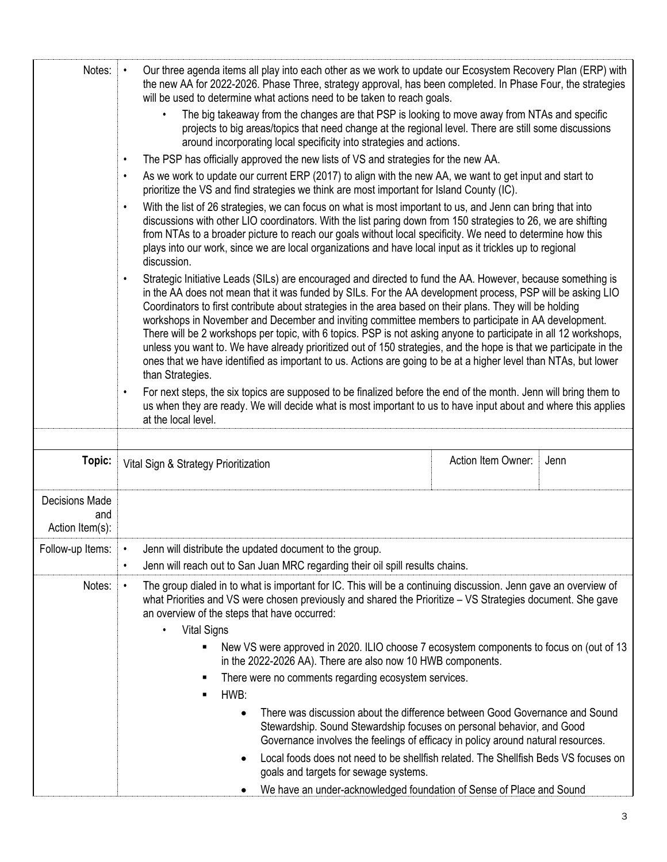| Notes:                                   | Our three agenda items all play into each other as we work to update our Ecosystem Recovery Plan (ERP) with<br>$\bullet$<br>the new AA for 2022-2026. Phase Three, strategy approval, has been completed. In Phase Four, the strategies<br>will be used to determine what actions need to be taken to reach goals.                                                                                                                                                                                                                                                                                                                                                                                                                                                                                                                        |                    |      |
|------------------------------------------|-------------------------------------------------------------------------------------------------------------------------------------------------------------------------------------------------------------------------------------------------------------------------------------------------------------------------------------------------------------------------------------------------------------------------------------------------------------------------------------------------------------------------------------------------------------------------------------------------------------------------------------------------------------------------------------------------------------------------------------------------------------------------------------------------------------------------------------------|--------------------|------|
|                                          | The big takeaway from the changes are that PSP is looking to move away from NTAs and specific<br>$\bullet$<br>projects to big areas/topics that need change at the regional level. There are still some discussions<br>around incorporating local specificity into strategies and actions.                                                                                                                                                                                                                                                                                                                                                                                                                                                                                                                                                |                    |      |
|                                          | The PSP has officially approved the new lists of VS and strategies for the new AA.<br>$\bullet$                                                                                                                                                                                                                                                                                                                                                                                                                                                                                                                                                                                                                                                                                                                                           |                    |      |
|                                          | As we work to update our current ERP (2017) to align with the new AA, we want to get input and start to<br>$\bullet$<br>prioritize the VS and find strategies we think are most important for Island County (IC).                                                                                                                                                                                                                                                                                                                                                                                                                                                                                                                                                                                                                         |                    |      |
|                                          | With the list of 26 strategies, we can focus on what is most important to us, and Jenn can bring that into<br>$\bullet$<br>discussions with other LIO coordinators. With the list paring down from 150 strategies to 26, we are shifting<br>from NTAs to a broader picture to reach our goals without local specificity. We need to determine how this<br>plays into our work, since we are local organizations and have local input as it trickles up to regional<br>discussion.                                                                                                                                                                                                                                                                                                                                                         |                    |      |
|                                          | Strategic Initiative Leads (SILs) are encouraged and directed to fund the AA. However, because something is<br>$\bullet$<br>in the AA does not mean that it was funded by SILs. For the AA development process, PSP will be asking LIO<br>Coordinators to first contribute about strategies in the area based on their plans. They will be holding<br>workshops in November and December and inviting committee members to participate in AA development.<br>There will be 2 workshops per topic, with 6 topics. PSP is not asking anyone to participate in all 12 workshops,<br>unless you want to. We have already prioritized out of 150 strategies, and the hope is that we participate in the<br>ones that we have identified as important to us. Actions are going to be at a higher level than NTAs, but lower<br>than Strategies. |                    |      |
|                                          | For next steps, the six topics are supposed to be finalized before the end of the month. Jenn will bring them to<br>$\bullet$<br>us when they are ready. We will decide what is most important to us to have input about and where this applies<br>at the local level.                                                                                                                                                                                                                                                                                                                                                                                                                                                                                                                                                                    |                    |      |
|                                          |                                                                                                                                                                                                                                                                                                                                                                                                                                                                                                                                                                                                                                                                                                                                                                                                                                           |                    |      |
|                                          |                                                                                                                                                                                                                                                                                                                                                                                                                                                                                                                                                                                                                                                                                                                                                                                                                                           |                    |      |
| Topic:                                   | Vital Sign & Strategy Prioritization                                                                                                                                                                                                                                                                                                                                                                                                                                                                                                                                                                                                                                                                                                                                                                                                      | Action Item Owner: | Jenn |
| Decisions Made<br>and<br>Action Item(s): |                                                                                                                                                                                                                                                                                                                                                                                                                                                                                                                                                                                                                                                                                                                                                                                                                                           |                    |      |
| Follow-up Items:                         | Jenn will distribute the updated document to the group.<br>Jenn will reach out to San Juan MRC regarding their oil spill results chains.<br>$\bullet$                                                                                                                                                                                                                                                                                                                                                                                                                                                                                                                                                                                                                                                                                     |                    |      |
| Notes:                                   | The group dialed in to what is important for IC. This will be a continuing discussion. Jenn gave an overview of<br>$\bullet$<br>what Priorities and VS were chosen previously and shared the Prioritize - VS Strategies document. She gave<br>an overview of the steps that have occurred:<br><b>Vital Signs</b><br>$\bullet$<br>New VS were approved in 2020. ILIO choose 7 ecosystem components to focus on (out of 13                                                                                                                                                                                                                                                                                                                                                                                                                  |                    |      |
|                                          | in the 2022-2026 AA). There are also now 10 HWB components.<br>There were no comments regarding ecosystem services.<br>٠                                                                                                                                                                                                                                                                                                                                                                                                                                                                                                                                                                                                                                                                                                                  |                    |      |
|                                          | HWB:<br>٠<br>There was discussion about the difference between Good Governance and Sound<br>$\bullet$<br>Stewardship. Sound Stewardship focuses on personal behavior, and Good<br>Governance involves the feelings of efficacy in policy around natural resources.                                                                                                                                                                                                                                                                                                                                                                                                                                                                                                                                                                        |                    |      |
|                                          | Local foods does not need to be shellfish related. The Shellfish Beds VS focuses on<br>goals and targets for sewage systems.<br>We have an under-acknowledged foundation of Sense of Place and Sound                                                                                                                                                                                                                                                                                                                                                                                                                                                                                                                                                                                                                                      |                    |      |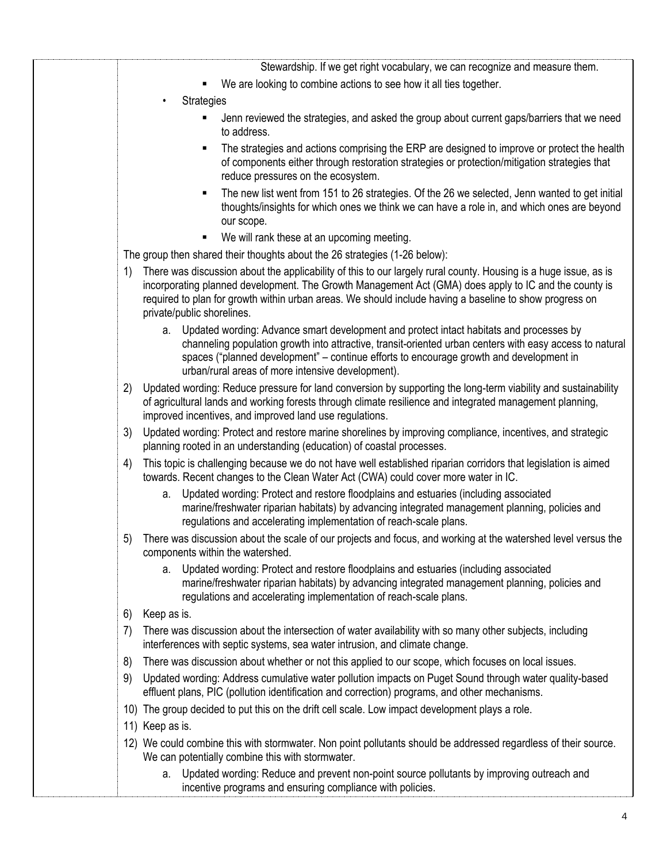|    | Stewardship. If we get right vocabulary, we can recognize and measure them.                                                                                                                                                                                                                                                                                        |
|----|--------------------------------------------------------------------------------------------------------------------------------------------------------------------------------------------------------------------------------------------------------------------------------------------------------------------------------------------------------------------|
|    | We are looking to combine actions to see how it all ties together.                                                                                                                                                                                                                                                                                                 |
|    | Strategies                                                                                                                                                                                                                                                                                                                                                         |
|    | Jenn reviewed the strategies, and asked the group about current gaps/barriers that we need<br>to address.                                                                                                                                                                                                                                                          |
|    | The strategies and actions comprising the ERP are designed to improve or protect the health<br>٠<br>of components either through restoration strategies or protection/mitigation strategies that<br>reduce pressures on the ecosystem.                                                                                                                             |
|    | The new list went from 151 to 26 strategies. Of the 26 we selected, Jenn wanted to get initial<br>٠<br>thoughts/insights for which ones we think we can have a role in, and which ones are beyond<br>our scope.                                                                                                                                                    |
|    | We will rank these at an upcoming meeting.                                                                                                                                                                                                                                                                                                                         |
|    | The group then shared their thoughts about the 26 strategies (1-26 below):                                                                                                                                                                                                                                                                                         |
| 1) | There was discussion about the applicability of this to our largely rural county. Housing is a huge issue, as is<br>incorporating planned development. The Growth Management Act (GMA) does apply to IC and the county is<br>required to plan for growth within urban areas. We should include having a baseline to show progress on<br>private/public shorelines. |
|    | Updated wording: Advance smart development and protect intact habitats and processes by<br>а.<br>channeling population growth into attractive, transit-oriented urban centers with easy access to natural<br>spaces ("planned development" – continue efforts to encourage growth and development in<br>urban/rural areas of more intensive development).          |
| 2) | Updated wording: Reduce pressure for land conversion by supporting the long-term viability and sustainability<br>of agricultural lands and working forests through climate resilience and integrated management planning,<br>improved incentives, and improved land use regulations.                                                                               |
| 3) | Updated wording: Protect and restore marine shorelines by improving compliance, incentives, and strategic<br>planning rooted in an understanding (education) of coastal processes.                                                                                                                                                                                 |
| 4) | This topic is challenging because we do not have well established riparian corridors that legislation is aimed<br>towards. Recent changes to the Clean Water Act (CWA) could cover more water in IC.                                                                                                                                                               |
|    | Updated wording: Protect and restore floodplains and estuaries (including associated<br>a.<br>marine/freshwater riparian habitats) by advancing integrated management planning, policies and<br>regulations and accelerating implementation of reach-scale plans.                                                                                                  |
| 5) | There was discussion about the scale of our projects and focus, and working at the watershed level versus the<br>components within the watershed.                                                                                                                                                                                                                  |
|    | Updated wording: Protect and restore floodplains and estuaries (including associated<br>a.<br>marine/freshwater riparian habitats) by advancing integrated management planning, policies and<br>regulations and accelerating implementation of reach-scale plans.                                                                                                  |
| 6) | Keep as is.                                                                                                                                                                                                                                                                                                                                                        |
| 7) | There was discussion about the intersection of water availability with so many other subjects, including<br>interferences with septic systems, sea water intrusion, and climate change.                                                                                                                                                                            |
| 8) | There was discussion about whether or not this applied to our scope, which focuses on local issues.                                                                                                                                                                                                                                                                |
| 9) | Updated wording: Address cumulative water pollution impacts on Puget Sound through water quality-based<br>effluent plans, PIC (pollution identification and correction) programs, and other mechanisms.                                                                                                                                                            |
|    | 10) The group decided to put this on the drift cell scale. Low impact development plays a role.                                                                                                                                                                                                                                                                    |
|    | 11) Keep as is.                                                                                                                                                                                                                                                                                                                                                    |
|    | 12) We could combine this with stormwater. Non point pollutants should be addressed regardless of their source.<br>We can potentially combine this with stormwater.                                                                                                                                                                                                |
|    | Updated wording: Reduce and prevent non-point source pollutants by improving outreach and<br>a.<br>incentive programs and ensuring compliance with policies.                                                                                                                                                                                                       |